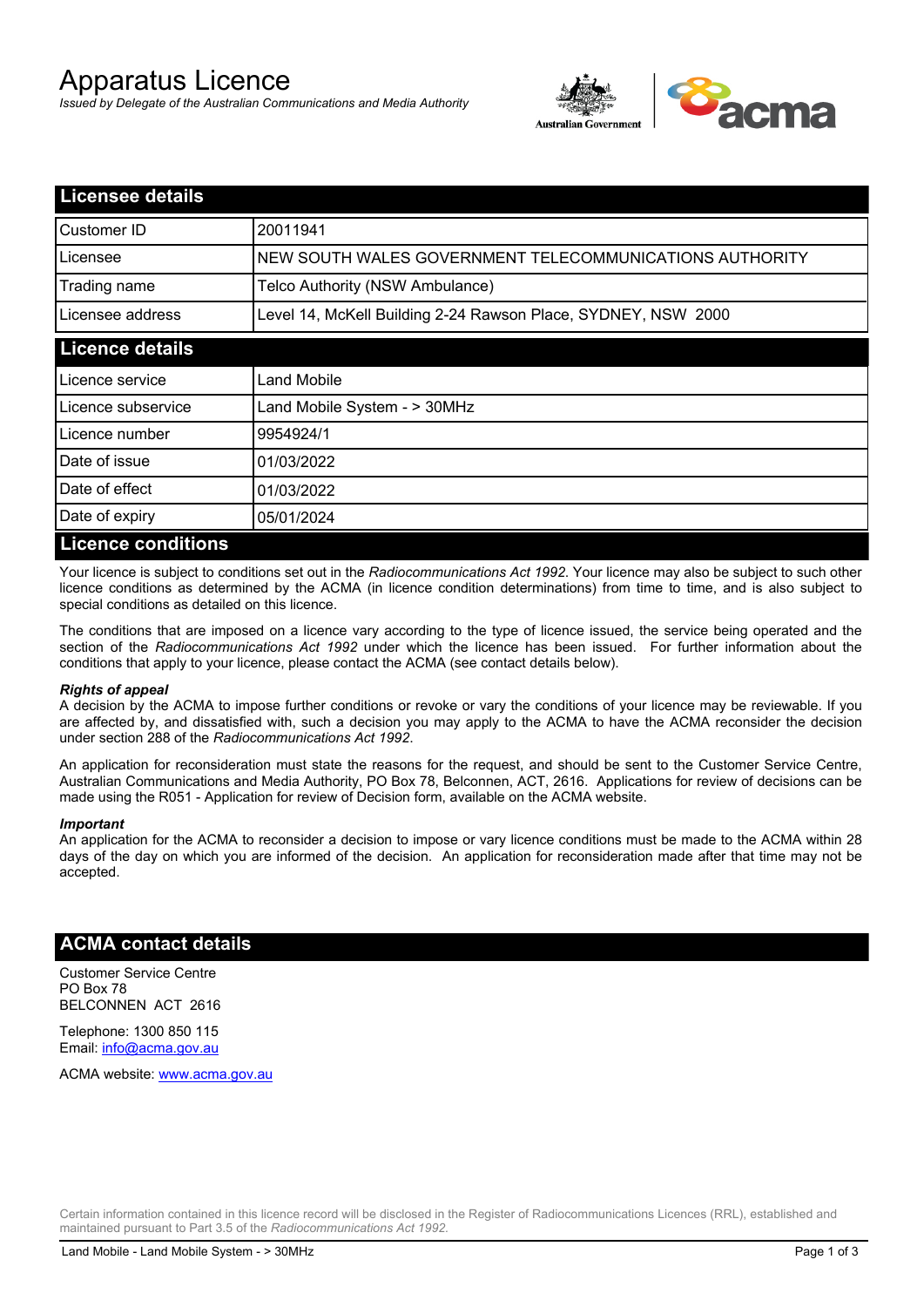# Apparatus Licence

*Issued by Delegate of the Australian Communications and Media Authority*



| <b>Licensee details</b>   |                                                               |
|---------------------------|---------------------------------------------------------------|
| Customer ID               | 20011941                                                      |
| Licensee                  | NEW SOUTH WALES GOVERNMENT TELECOMMUNICATIONS AUTHORITY       |
| Trading name              | Telco Authority (NSW Ambulance)                               |
| Licensee address          | Level 14, McKell Building 2-24 Rawson Place, SYDNEY, NSW 2000 |
| <b>Licence details</b>    |                                                               |
| l Licence service         | Land Mobile                                                   |
| Licence subservice        | Land Mobile System - > 30MHz                                  |
| Licence number            | 9954924/1                                                     |
| Date of issue             | 01/03/2022                                                    |
| Date of effect            | 01/03/2022                                                    |
| Date of expiry            | 05/01/2024                                                    |
| <b>Licence conditions</b> |                                                               |

Your licence is subject to conditions set out in the *Radiocommunications Act 1992*. Your licence may also be subject to such other licence conditions as determined by the ACMA (in licence condition determinations) from time to time, and is also subject to special conditions as detailed on this licence.

The conditions that are imposed on a licence vary according to the type of licence issued, the service being operated and the section of the *Radiocommunications Act 1992* under which the licence has been issued. For further information about the conditions that apply to your licence, please contact the ACMA (see contact details below).

#### *Rights of appeal*

A decision by the ACMA to impose further conditions or revoke or vary the conditions of your licence may be reviewable. If you are affected by, and dissatisfied with, such a decision you may apply to the ACMA to have the ACMA reconsider the decision under section 288 of the *Radiocommunications Act 1992*.

An application for reconsideration must state the reasons for the request, and should be sent to the Customer Service Centre, Australian Communications and Media Authority, PO Box 78, Belconnen, ACT, 2616. Applications for review of decisions can be made using the R051 - Application for review of Decision form, available on the ACMA website.

#### *Important*

An application for the ACMA to reconsider a decision to impose or vary licence conditions must be made to the ACMA within 28 days of the day on which you are informed of the decision. An application for reconsideration made after that time may not be accepted.

### **ACMA contact details**

Customer Service Centre PO Box 78 BELCONNEN ACT 2616

Telephone: 1300 850 115 Email: info@acma.gov.au

ACMA website: www.acma.gov.au

Certain information contained in this licence record will be disclosed in the Register of Radiocommunications Licences (RRL), established and maintained pursuant to Part 3.5 of the *Radiocommunications Act 1992.*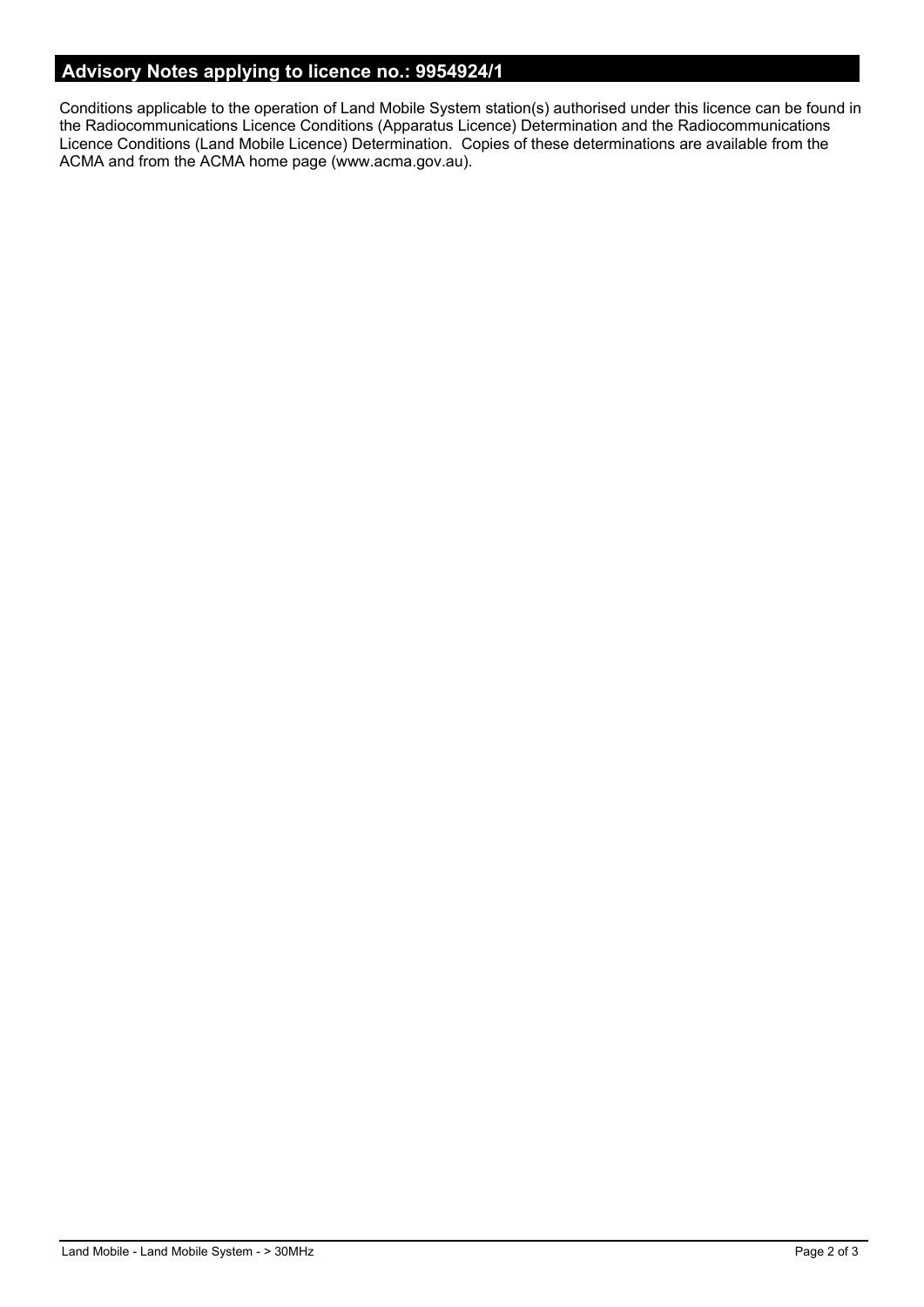# **Advisory Notes applying to licence no.: 9954924/1**

Conditions applicable to the operation of Land Mobile System station(s) authorised under this licence can be found in the Radiocommunications Licence Conditions (Apparatus Licence) Determination and the Radiocommunications Licence Conditions (Land Mobile Licence) Determination. Copies of these determinations are available from the ACMA and from the ACMA home page (www.acma.gov.au).